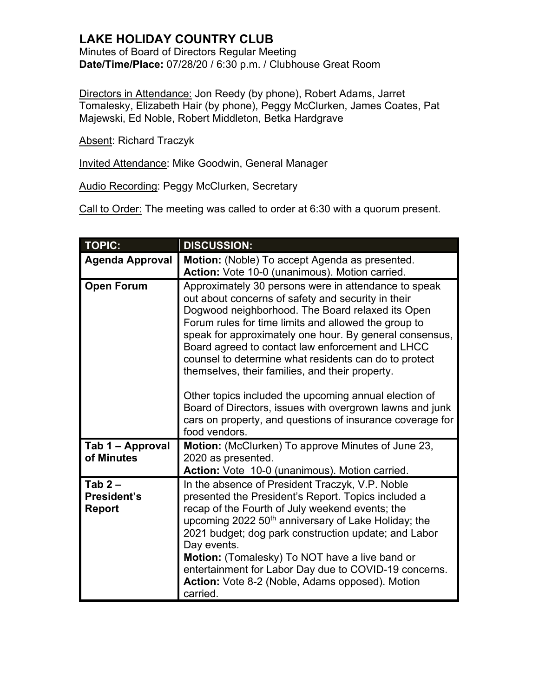## **LAKE HOLIDAY COUNTRY CLUB**

Minutes of Board of Directors Regular Meeting **Date/Time/Place:** 07/28/20 / 6:30 p.m. / Clubhouse Great Room

Directors in Attendance: Jon Reedy (by phone), Robert Adams, Jarret Tomalesky, Elizabeth Hair (by phone), Peggy McClurken, James Coates, Pat Majewski, Ed Noble, Robert Middleton, Betka Hardgrave

Absent: Richard Traczyk

Invited Attendance: Mike Goodwin, General Manager

Audio Recording: Peggy McClurken, Secretary

Call to Order: The meeting was called to order at 6:30 with a quorum present.

| <b>TOPIC:</b>                            | <b>DISCUSSION:</b>                                                                                                                                                                                                                                                                                                                                                                                                                                                                                                                                                                                                                                   |
|------------------------------------------|------------------------------------------------------------------------------------------------------------------------------------------------------------------------------------------------------------------------------------------------------------------------------------------------------------------------------------------------------------------------------------------------------------------------------------------------------------------------------------------------------------------------------------------------------------------------------------------------------------------------------------------------------|
| <b>Agenda Approval</b>                   | Motion: (Noble) To accept Agenda as presented.<br>Action: Vote 10-0 (unanimous). Motion carried.                                                                                                                                                                                                                                                                                                                                                                                                                                                                                                                                                     |
| <b>Open Forum</b>                        | Approximately 30 persons were in attendance to speak<br>out about concerns of safety and security in their<br>Dogwood neighborhood. The Board relaxed its Open<br>Forum rules for time limits and allowed the group to<br>speak for approximately one hour. By general consensus,<br>Board agreed to contact law enforcement and LHCC<br>counsel to determine what residents can do to protect<br>themselves, their families, and their property.<br>Other topics included the upcoming annual election of<br>Board of Directors, issues with overgrown lawns and junk<br>cars on property, and questions of insurance coverage for<br>food vendors. |
| Tab 1 – Approval<br>of Minutes           | <b>Motion:</b> (McClurken) To approve Minutes of June 23,<br>2020 as presented.<br>Action: Vote 10-0 (unanimous). Motion carried.                                                                                                                                                                                                                                                                                                                                                                                                                                                                                                                    |
| Tab $2-$<br>President's<br><b>Report</b> | In the absence of President Traczyk, V.P. Noble<br>presented the President's Report. Topics included a<br>recap of the Fourth of July weekend events; the<br>upcoming 2022 50 <sup>th</sup> anniversary of Lake Holiday; the<br>2021 budget; dog park construction update; and Labor<br>Day events.<br>Motion: (Tomalesky) To NOT have a live band or<br>entertainment for Labor Day due to COVID-19 concerns.<br>Action: Vote 8-2 (Noble, Adams opposed). Motion<br>carried.                                                                                                                                                                        |